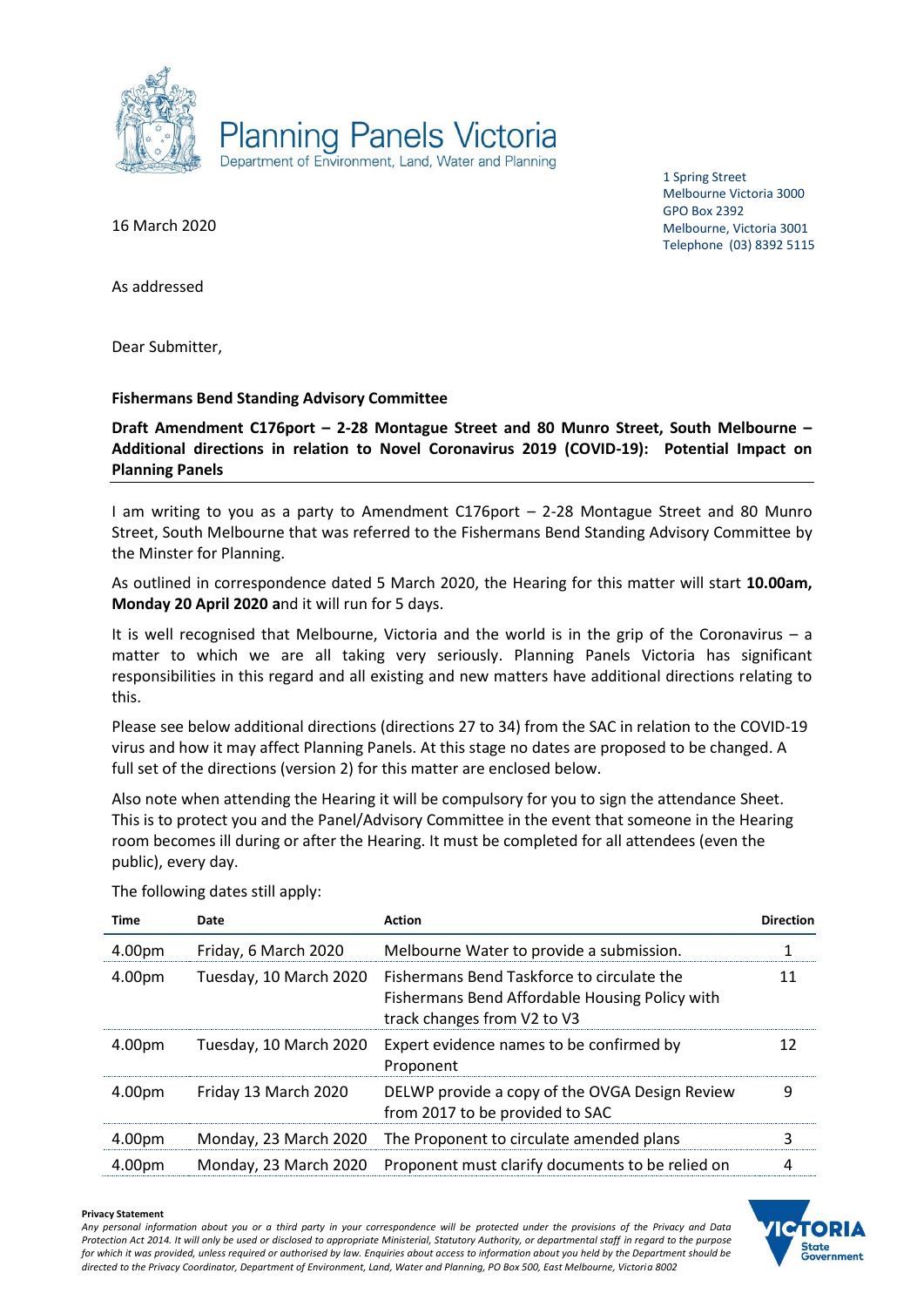

1 Spring Street Melbourne Victoria 3000 GPO Box 2392 Melbourne, Victoria 3001 Telephone (03) 8392 5115

16 March 2020

As addressed

Dear Submitter,

## **Fishermans Bend Standing Advisory Committee**

**Draft Amendment C176port – 2-28 Montague Street and 80 Munro Street, South Melbourne – Additional directions in relation to Novel Coronavirus 2019 (COVID-19): Potential Impact on Planning Panels**

I am writing to you as a party to Amendment C176port – 2-28 Montague Street and 80 Munro Street, South Melbourne that was referred to the Fishermans Bend Standing Advisory Committee by the Minster for Planning.

As outlined in correspondence dated 5 March 2020, the Hearing for this matter will start **10.00am, Monday 20 April 2020 a**nd it will run for 5 days.

It is well recognised that Melbourne, Victoria and the world is in the grip of the Coronavirus – a matter to which we are all taking very seriously. Planning Panels Victoria has significant responsibilities in this regard and all existing and new matters have additional directions relating to this.

Please see below additional directions (directions 27 to 34) from the SAC in relation to the COVID-19 virus and how it may affect Planning Panels. At this stage no dates are proposed to be changed. A full set of the directions (version 2) for this matter are enclosed below.

Also note when attending the Hearing it will be compulsory for you to sign the attendance Sheet. This is to protect you and the Panel/Advisory Committee in the event that someone in the Hearing room becomes ill during or after the Hearing. It must be completed for all attendees (even the public), every day.

| Time   | Date                   | <b>Action</b>                                                                                                               | <b>Direction</b> |
|--------|------------------------|-----------------------------------------------------------------------------------------------------------------------------|------------------|
| 4.00pm | Friday, 6 March 2020   | Melbourne Water to provide a submission.                                                                                    |                  |
| 4.00pm | Tuesday, 10 March 2020 | Fishermans Bend Taskforce to circulate the<br>Fishermans Bend Affordable Housing Policy with<br>track changes from V2 to V3 | 11               |
| 4.00pm | Tuesday, 10 March 2020 | Expert evidence names to be confirmed by<br>Proponent                                                                       | 12               |
| 4.00pm | Friday 13 March 2020   | DELWP provide a copy of the OVGA Design Review<br>from 2017 to be provided to SAC                                           | 9                |
| 4.00pm | Monday, 23 March 2020  | The Proponent to circulate amended plans                                                                                    | 3                |
| 4.00pm | Monday, 23 March 2020  | Proponent must clarify documents to be relied on                                                                            | 4                |

The following dates still apply:

#### **Privacy Statement**

*Any personal information about you or a third party in your correspondence will be protected under the provisions of the Privacy and Data Protection Act 2014. It will only be used or disclosed to appropriate Ministerial, Statutory Authority, or departmental staff in regard to the purpose for which it was provided, unless required or authorised by law. Enquiries about access to information about you held by the Department should be directed to the Privacy Coordinator, Department of Environment, Land, Water and Planning, PO Box 500, East Melbourne, Victoria 8002*

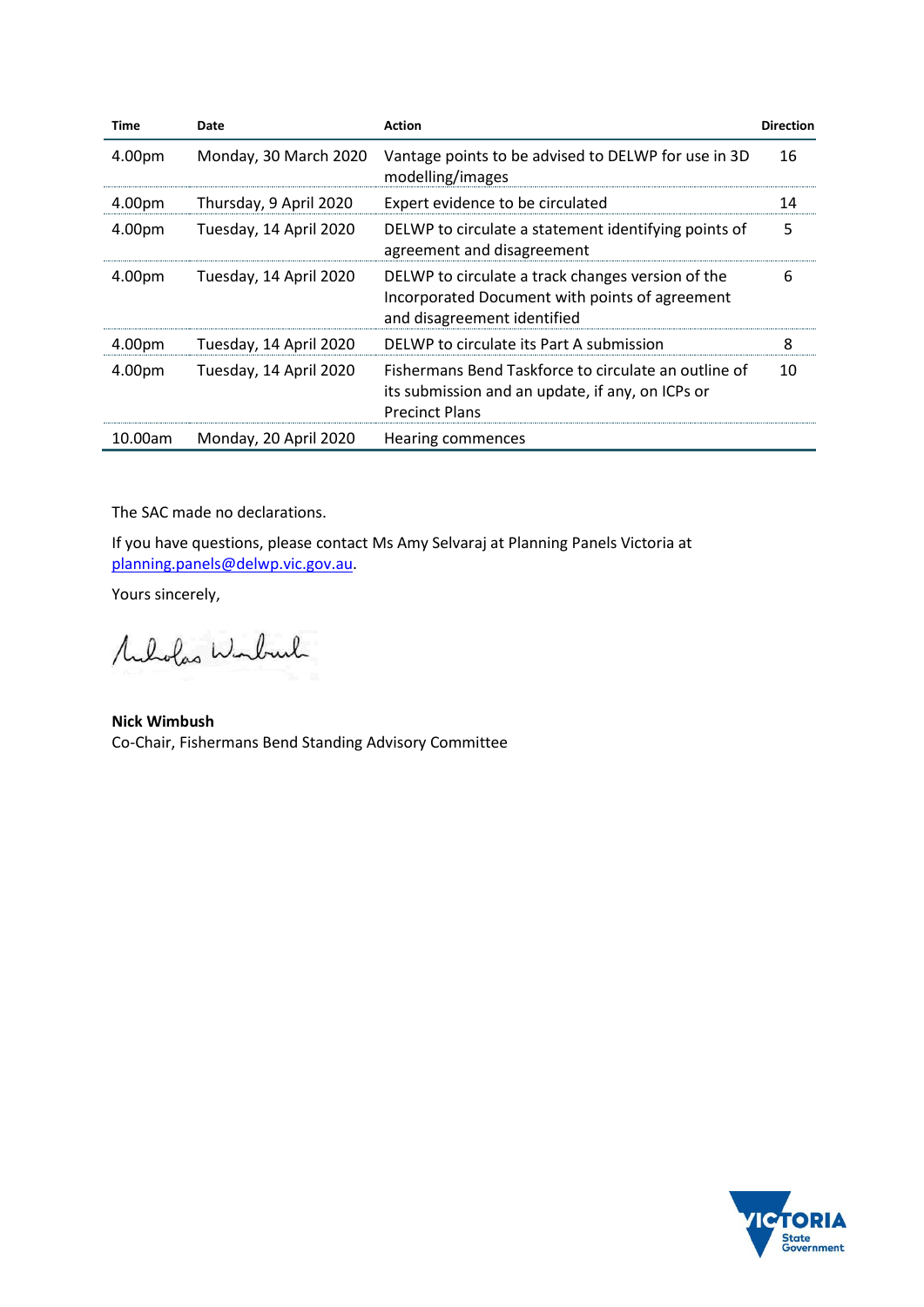| <b>Time</b> | Date                   | <b>Action</b>                                                                                                                      | <b>Direction</b> |
|-------------|------------------------|------------------------------------------------------------------------------------------------------------------------------------|------------------|
| 4.00pm      | Monday, 30 March 2020  | Vantage points to be advised to DELWP for use in 3D<br>modelling/images                                                            | 16               |
| 4.00pm      | Thursday, 9 April 2020 | Expert evidence to be circulated                                                                                                   | 14               |
| 4.00pm      | Tuesday, 14 April 2020 | DELWP to circulate a statement identifying points of<br>agreement and disagreement                                                 | 5                |
| 4.00pm      | Tuesday, 14 April 2020 | DELWP to circulate a track changes version of the<br>Incorporated Document with points of agreement<br>and disagreement identified | 6                |
| 4.00pm      | Tuesday, 14 April 2020 | DELWP to circulate its Part A submission                                                                                           | 8                |
| 4.00pm      | Tuesday, 14 April 2020 | Fishermans Bend Taskforce to circulate an outline of<br>its submission and an update, if any, on ICPs or<br><b>Precinct Plans</b>  | 10               |
| 10.00am     | Monday, 20 April 2020  | Hearing commences                                                                                                                  |                  |

The SAC made no declarations.

If you have questions, please contact Ms Amy Selvaraj at Planning Panels Victoria at [planning.panels@delwp.vic.gov.au.](mailto:planning.panels@delwp.vic.gov.au)

Yours sincerely,

Muholas Winburk

**Nick Wimbush** Co-Chair, Fishermans Bend Standing Advisory Committee

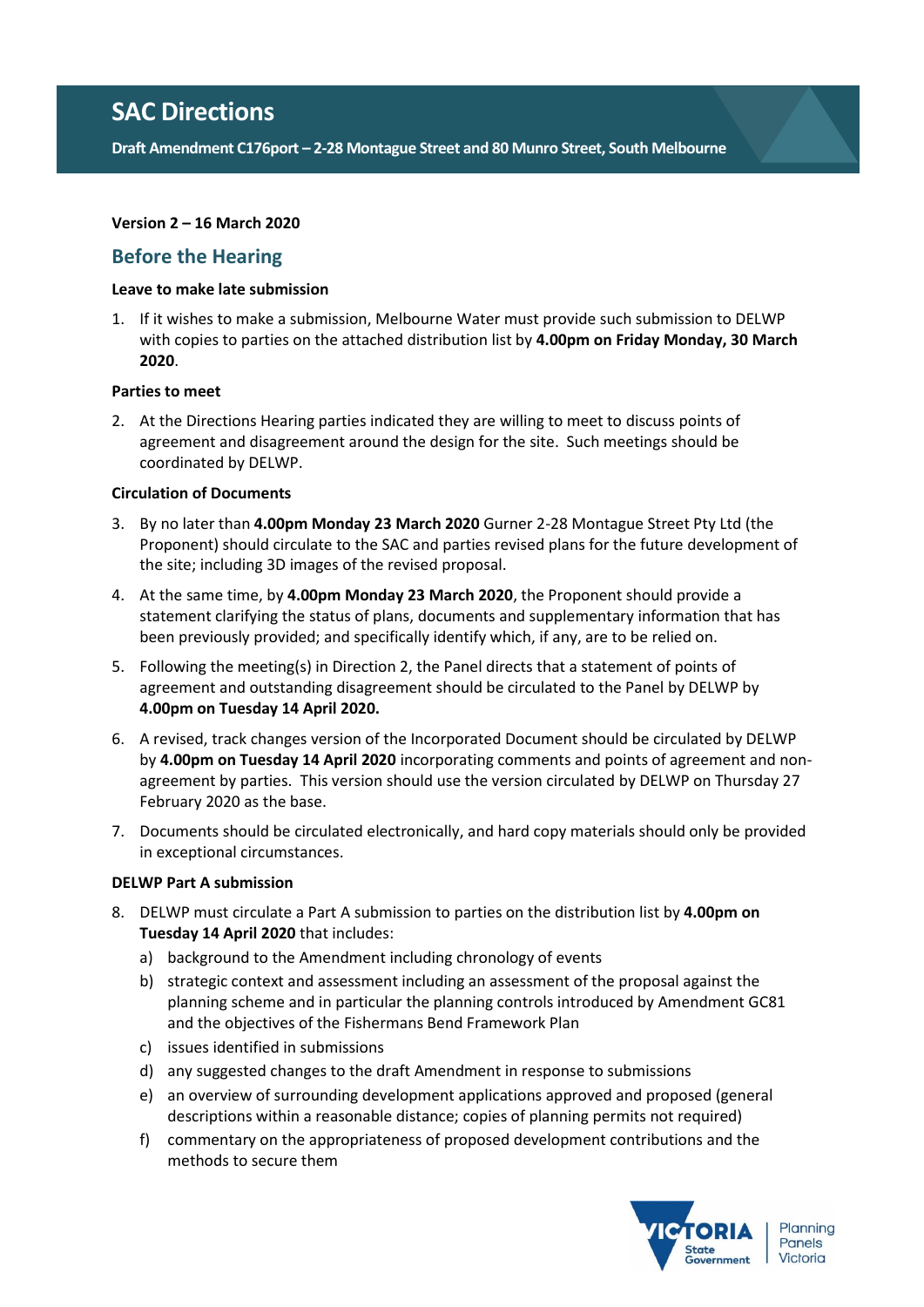**Draft Amendment C176port – 2-28 Montague Street and 80 Munro Street, South Melbourne**

## **Version 2 – 16 March 2020**

# **Before the Hearing**

## **Leave to make late submission**

1. If it wishes to make a submission, Melbourne Water must provide such submission to DELWP with copies to parties on the attached distribution list by **4.00pm on Friday Monday, 30 March 2020**.

## **Parties to meet**

2. At the Directions Hearing parties indicated they are willing to meet to discuss points of agreement and disagreement around the design for the site. Such meetings should be coordinated by DELWP.

### **Circulation of Documents**

- 3. By no later than **4.00pm Monday 23 March 2020** Gurner 2-28 Montague Street Pty Ltd (the Proponent) should circulate to the SAC and parties revised plans for the future development of the site; including 3D images of the revised proposal.
- 4. At the same time, by **4.00pm Monday 23 March 2020**, the Proponent should provide a statement clarifying the status of plans, documents and supplementary information that has been previously provided; and specifically identify which, if any, are to be relied on.
- 5. Following the meeting(s) in Direction 2, the Panel directs that a statement of points of agreement and outstanding disagreement should be circulated to the Panel by DELWP by **4.00pm on Tuesday 14 April 2020.**
- 6. A revised, track changes version of the Incorporated Document should be circulated by DELWP by **4.00pm on Tuesday 14 April 2020** incorporating comments and points of agreement and nonagreement by parties. This version should use the version circulated by DELWP on Thursday 27 February 2020 as the base.
- 7. Documents should be circulated electronically, and hard copy materials should only be provided in exceptional circumstances.

## **DELWP Part A submission**

- 8. DELWP must circulate a Part A submission to parties on the distribution list by **4.00pm on Tuesday 14 April 2020** that includes:
	- a) background to the Amendment including chronology of events
	- b) strategic context and assessment including an assessment of the proposal against the planning scheme and in particular the planning controls introduced by Amendment GC81 and the objectives of the Fishermans Bend Framework Plan
	- c) issues identified in submissions
	- d) any suggested changes to the draft Amendment in response to submissions
	- e) an overview of surrounding development applications approved and proposed (general descriptions within a reasonable distance; copies of planning permits not required)
	- f) commentary on the appropriateness of proposed development contributions and the methods to secure them

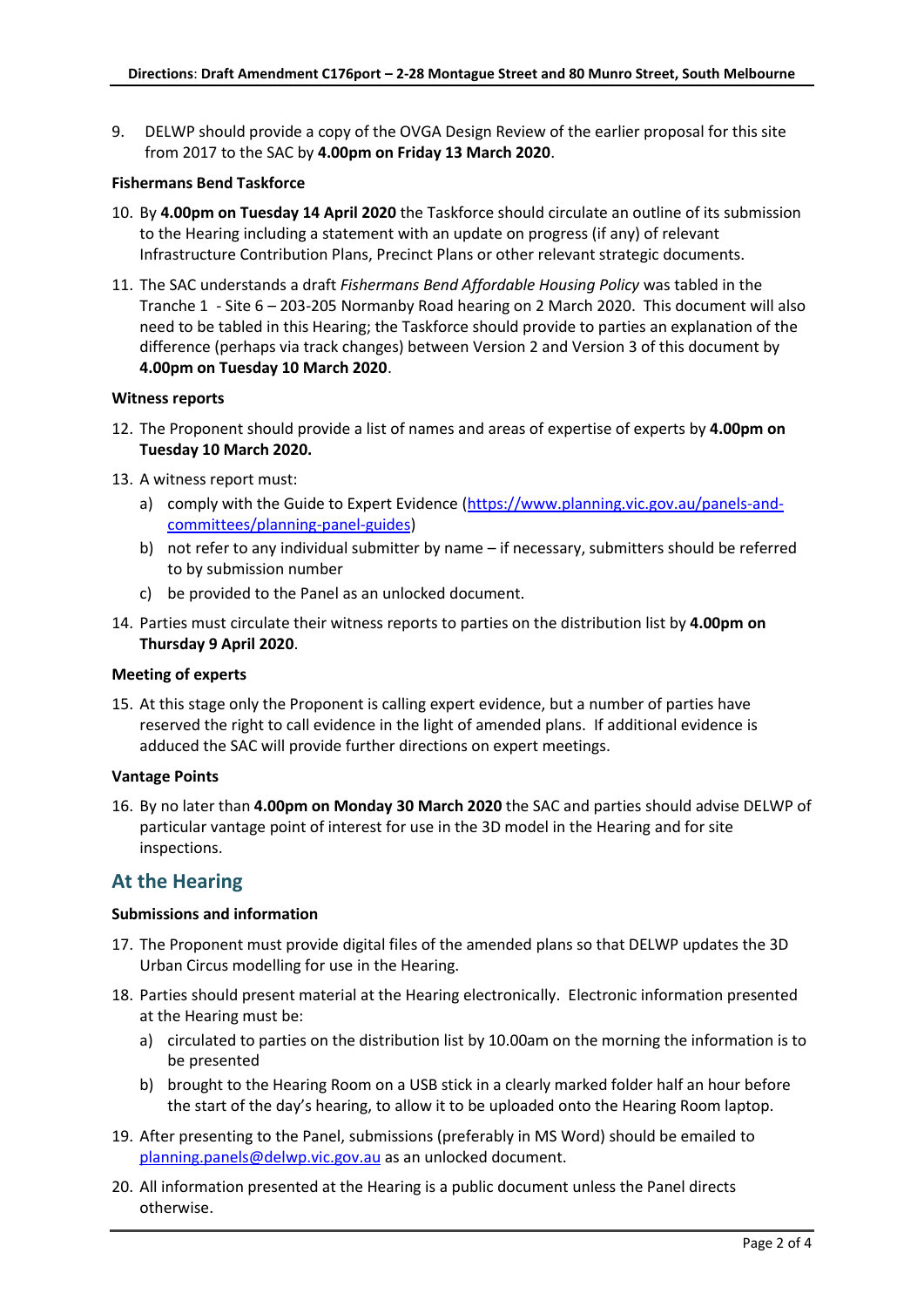9. DELWP should provide a copy of the OVGA Design Review of the earlier proposal for this site from 2017 to the SAC by **4.00pm on Friday 13 March 2020**.

#### **Fishermans Bend Taskforce**

- 10. By **4.00pm on Tuesday 14 April 2020** the Taskforce should circulate an outline of its submission to the Hearing including a statement with an update on progress (if any) of relevant Infrastructure Contribution Plans, Precinct Plans or other relevant strategic documents.
- 11. The SAC understands a draft *Fishermans Bend Affordable Housing Policy* was tabled in the Tranche 1 - Site 6 – 203-205 Normanby Road hearing on 2 March 2020. This document will also need to be tabled in this Hearing; the Taskforce should provide to parties an explanation of the difference (perhaps via track changes) between Version 2 and Version 3 of this document by **4.00pm on Tuesday 10 March 2020**.

#### **Witness reports**

- 12. The Proponent should provide a list of names and areas of expertise of experts by **4.00pm on Tuesday 10 March 2020.**
- 13. A witness report must:
	- a) comply with the Guide to Expert Evidence [\(https://www.planning.vic.gov.au/panels-and](https://www.planning.vic.gov.au/panels-and-committees/planning-panel-guides)[committees/planning-panel-guides\)](https://www.planning.vic.gov.au/panels-and-committees/planning-panel-guides)
	- b) not refer to any individual submitter by name if necessary, submitters should be referred to by submission number
	- c) be provided to the Panel as an unlocked document.
- 14. Parties must circulate their witness reports to parties on the distribution list by **4.00pm on Thursday 9 April 2020**.

#### **Meeting of experts**

15. At this stage only the Proponent is calling expert evidence, but a number of parties have reserved the right to call evidence in the light of amended plans. If additional evidence is adduced the SAC will provide further directions on expert meetings.

#### **Vantage Points**

16. By no later than **4.00pm on Monday 30 March 2020** the SAC and parties should advise DELWP of particular vantage point of interest for use in the 3D model in the Hearing and for site inspections.

## **At the Hearing**

#### **Submissions and information**

- 17. The Proponent must provide digital files of the amended plans so that DELWP updates the 3D Urban Circus modelling for use in the Hearing.
- 18. Parties should present material at the Hearing electronically. Electronic information presented at the Hearing must be:
	- a) circulated to parties on the distribution list by 10.00am on the morning the information is to be presented
	- b) brought to the Hearing Room on a USB stick in a clearly marked folder half an hour before the start of the day's hearing, to allow it to be uploaded onto the Hearing Room laptop.
- 19. After presenting to the Panel, submissions (preferably in MS Word) should be emailed to [planning.panels@delwp.vic.gov.au](mailto:planning.panels@delwp.vic.gov.au) as an unlocked document.
- 20. All information presented at the Hearing is a public document unless the Panel directs otherwise.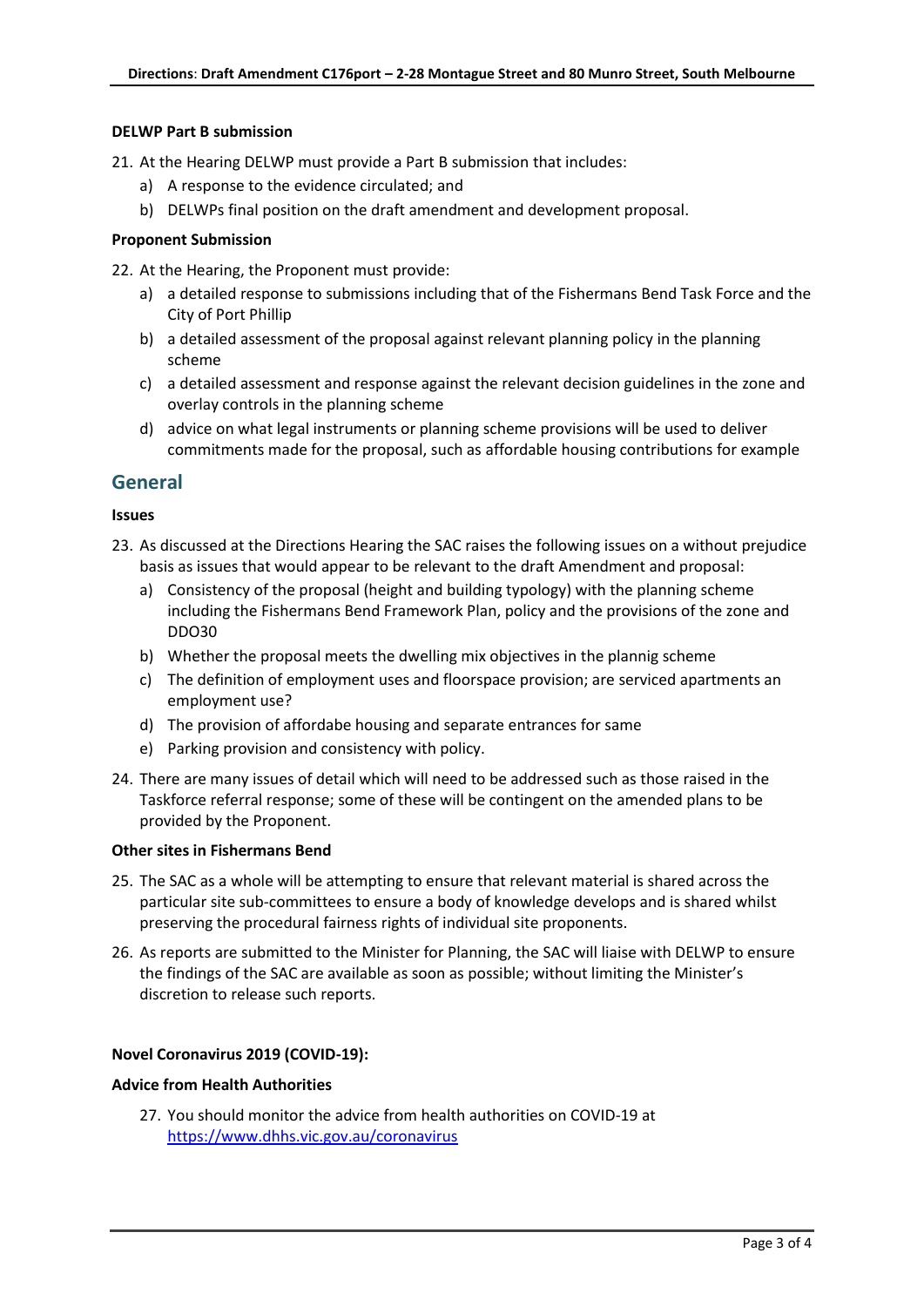## **DELWP Part B submission**

21. At the Hearing DELWP must provide a Part B submission that includes:

- a) A response to the evidence circulated; and
- b) DELWPs final position on the draft amendment and development proposal.

## **Proponent Submission**

22. At the Hearing, the Proponent must provide:

- a) a detailed response to submissions including that of the Fishermans Bend Task Force and the City of Port Phillip
- b) a detailed assessment of the proposal against relevant planning policy in the planning scheme
- c) a detailed assessment and response against the relevant decision guidelines in the zone and overlay controls in the planning scheme
- d) advice on what legal instruments or planning scheme provisions will be used to deliver commitments made for the proposal, such as affordable housing contributions for example

## **General**

## **Issues**

- 23. As discussed at the Directions Hearing the SAC raises the following issues on a without prejudice basis as issues that would appear to be relevant to the draft Amendment and proposal:
	- a) Consistency of the proposal (height and building typology) with the planning scheme including the Fishermans Bend Framework Plan, policy and the provisions of the zone and DDO30
	- b) Whether the proposal meets the dwelling mix objectives in the plannig scheme
	- c) The definition of employment uses and floorspace provision; are serviced apartments an employment use?
	- d) The provision of affordabe housing and separate entrances for same
	- e) Parking provision and consistency with policy.
- 24. There are many issues of detail which will need to be addressed such as those raised in the Taskforce referral response; some of these will be contingent on the amended plans to be provided by the Proponent.

## **Other sites in Fishermans Bend**

- 25. The SAC as a whole will be attempting to ensure that relevant material is shared across the particular site sub-committees to ensure a body of knowledge develops and is shared whilst preserving the procedural fairness rights of individual site proponents.
- 26. As reports are submitted to the Minister for Planning, the SAC will liaise with DELWP to ensure the findings of the SAC are available as soon as possible; without limiting the Minister's discretion to release such reports.

## **Novel Coronavirus 2019 (COVID-19):**

## **Advice from Health Authorities**

27. You should monitor the advice from health authorities on COVID-19 at <https://www.dhhs.vic.gov.au/coronavirus>